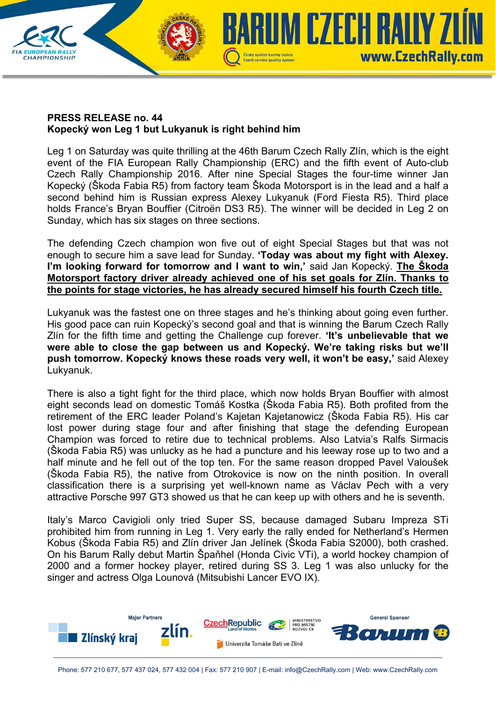## **PRESS RELEASE no. 44 Kopecký won Leg 1 but Lukyanuk is right behind him**

**CHAMPIONSHIP** 

Leg 1 on Saturday was quite thrilling at the 46th Barum Czech Rally Zlín, which is the eight event of the FIA European Rally Championship (ERC) and the fifth event of Auto-club Czech Rally Championship 2016. After nine Special Stages the four-time winner Jan Kopecký (Škoda Fabia R5) from factory team Škoda Motorsport is in the lead and a half a second behind him is Russian express Alexey Lukyanuk (Ford Fiesta R5). Third place holds France's Bryan Bouffier (Citroën DS3 R5). The winner will be decided in Leg 2 on Sunday, which has six stages on three sections.

Czech service quality system

UM CZECH RAILY Z

www.CzechRally.com

The defending Czech champion won five out of eight Special Stages but that was not enough to secure him a save lead for Sunday. **'Today was about my fight with Alexey. I'm looking forward for tomorrow and I want to win,'** said Jan Kopecký. **The Škoda Motorsport factory driver already achieved one of his set goals for Zlín. Thanks to the points for stage victories, he has already secured himself his fourth Czech title.** 

Lukyanuk was the fastest one on three stages and he's thinking about going even further. His good pace can ruin Kopecký's second goal and that is winning the Barum Czech Rally Zlín for the fifth time and getting the Challenge cup forever. **'It's unbelievable that we were able to close the gap between us and Kopecký. We're taking risks but we'll push tomorrow. Kopecký knows these roads very well, it won't be easy,'** said Alexey Lukyanuk.

There is also a tight fight for the third place, which now holds Bryan Bouffier with almost eight seconds lead on domestic Tomáš Kostka (Škoda Fabia R5). Both profited from the retirement of the ERC leader Poland's Kajetan Kajetanowicz (Škoda Fabia R5). His car lost power during stage four and after finishing that stage the defending European Champion was forced to retire due to technical problems. Also Latvia's Ralfs Sirmacis (Škoda Fabia R5) was unlucky as he had a puncture and his leeway rose up to two and a half minute and he fell out of the top ten. For the same reason dropped Pavel Valoušek (Škoda Fabia R5), the native from Otrokovice is now on the ninth position. In overall classification there is a surprising yet well-known name as Václav Pech with a very attractive Porsche 997 GT3 showed us that he can keep up with others and he is seventh.

Italy's Marco Cavigioli only tried Super SS, because damaged Subaru Impreza STi prohibited him from running in Leg 1. Very early the rally ended for Netherland's Hermen Kobus (Škoda Fabia R5) and Zlín driver Jan Jelínek (Škoda Fabia S2000), both crashed. On his Barum Rally debut Martin Špaňhel (Honda Civic VTi), a world hockey champion of 2000 and a former hockey player, retired during SS 3. Leg 1 was also unlucky for the singer and actress Olga Lounová (Mitsubishi Lancer EVO IX).